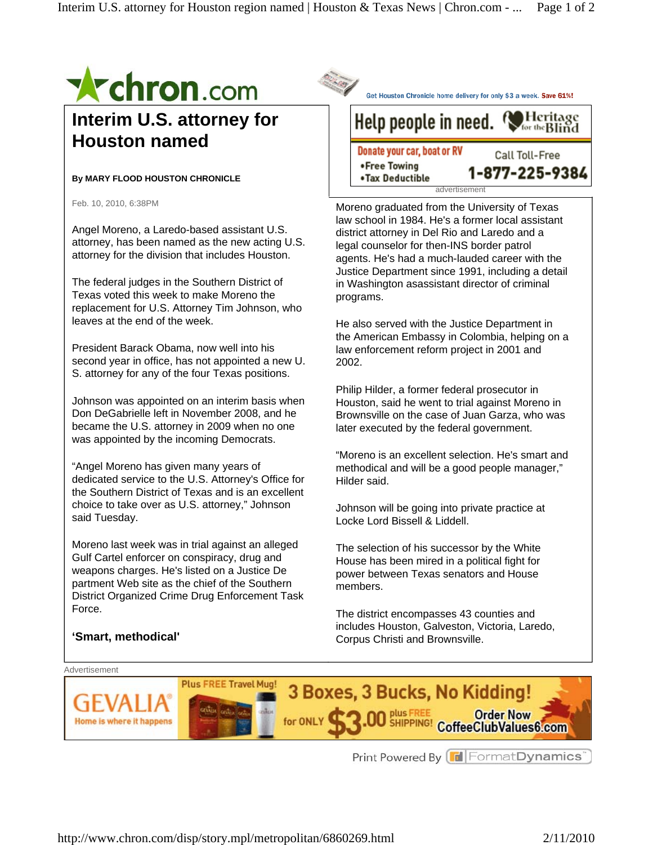

## **Interim U.S. attorney for Houston named**

## **By MARY FLOOD HOUSTON CHRONICLE**

Feb. 10, 2010, 6:38PM

Angel Moreno, a Laredo-based assistant U.S. attorney, has been named as the new acting U.S. attorney for the division that includes Houston.

The federal judges in the Southern District of Texas voted this week to make Moreno the replacement for U.S. Attorney Tim Johnson, who leaves at the end of the week.

President Barack Obama, now well into his second year in office, has not appointed a new U. S. attorney for any of the four Texas positions.

Johnson was appointed on an interim basis when Don DeGabrielle left in November 2008, and he became the U.S. attorney in 2009 when no one was appointed by the incoming Democrats.

"Angel Moreno has given many years of dedicated service to the U.S. Attorney's Office for the Southern District of Texas and is an excellent choice to take over as U.S. attorney," Johnson said Tuesday.

Moreno last week was in trial against an alleged Gulf Cartel enforcer on conspiracy, drug and weapons charges. He's listed on a Justice De partment Web site as the chief of the Southern District Organized Crime Drug Enforcement Task Force.

Get Houston Chronicle home delivery for only \$3 a week. Save 61%! Help people in need. Heritage Donate your car, boat or RV Call Toll-Free

1-877-225-9384

Moreno graduated from the University of Texas law school in 1984. He's a former local assistant district attorney in Del Rio and Laredo and a legal counselor for then-INS border patrol agents. He's had a much-lauded career with the Justice Department since 1991, including a detail in Washington asassistant director of criminal programs.

advertisement

•Free Towing

•Tax Deductible

He also served with the Justice Department in the American Embassy in Colombia, helping on a law enforcement reform project in 2001 and 2002.

Philip Hilder, a former federal prosecutor in Houston, said he went to trial against Moreno in Brownsville on the case of Juan Garza, who was later executed by the federal government.

"Moreno is an excellent selection. He's smart and methodical and will be a good people manager," Hilder said.

Johnson will be going into private practice at Locke Lord Bissell & Liddell.

The selection of his successor by the White House has been mired in a political fight for power between Texas senators and House members.

The district encompasses 43 counties and includes Houston, Galveston, Victoria, Laredo, Corpus Christi and Brownsville.



Print Powered By **F** Format Dynamics<sup>®</sup>

## **'Smart, methodical'**